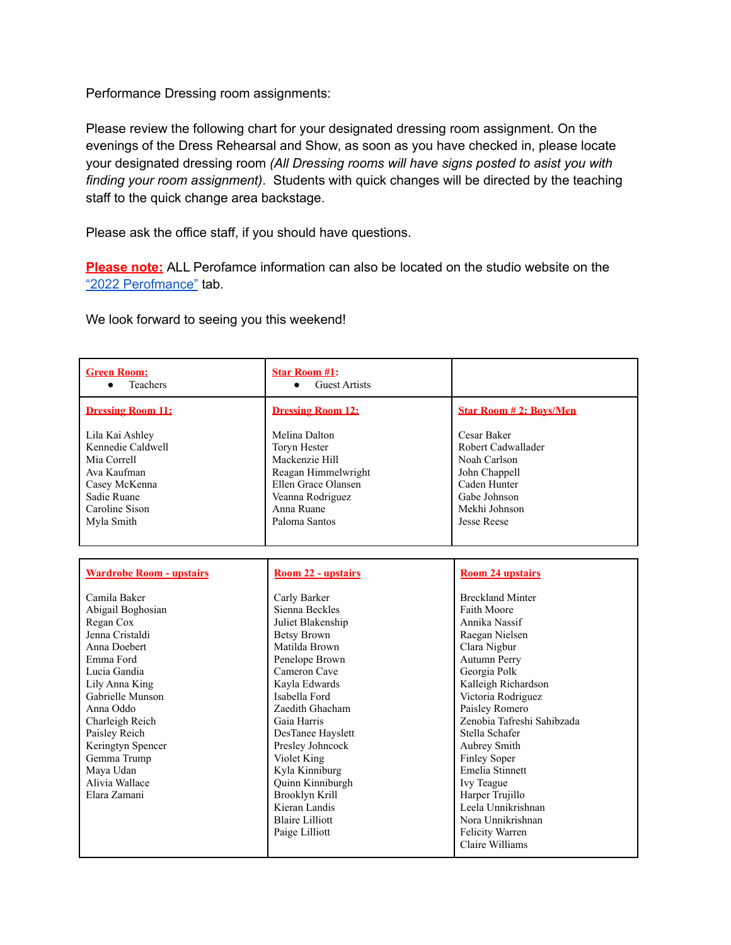Performance Dressing room assignments:

Please review the following chart for your designated dressing room assignment. On the evenings of the Dress Rehearsal and Show, as soon as you have checked in, please locate your designated dressing room *(All Dressing rooms will have signs posted to asist you with finding your room assignment)*. Students with quick changes will be directed by the teaching staff to the quick change area backstage.

Please ask the office staff, if you should have questions.

**Please note:** ALL Perofamce information can also be located on the studio website on the "2022 [Perofmance"](https://www.denisewall.com/2022-performance.html) tab.

We look forward to seeing you this weekend!

| <b>Green Room:</b><br><b>Teachers</b><br>$\bullet$                                                                                                                                                                                                                                       | <b>Star Room #1:</b><br><b>Guest Artists</b><br>$\bullet$                                                                                                                                                                                                                                                                                                                     |                                                                                                                                                                                                                                                                                                                                                                                                                                    |
|------------------------------------------------------------------------------------------------------------------------------------------------------------------------------------------------------------------------------------------------------------------------------------------|-------------------------------------------------------------------------------------------------------------------------------------------------------------------------------------------------------------------------------------------------------------------------------------------------------------------------------------------------------------------------------|------------------------------------------------------------------------------------------------------------------------------------------------------------------------------------------------------------------------------------------------------------------------------------------------------------------------------------------------------------------------------------------------------------------------------------|
| <b>Dressing Room 11:</b>                                                                                                                                                                                                                                                                 | <b>Dressing Room 12:</b>                                                                                                                                                                                                                                                                                                                                                      | <b>Star Room #2: Boys/Men</b>                                                                                                                                                                                                                                                                                                                                                                                                      |
| Lila Kai Ashley<br>Kennedie Caldwell<br>Mia Correll<br>Ava Kaufman<br>Casey McKenna<br>Sadie Ruane<br>Caroline Sison<br>Myla Smith                                                                                                                                                       | Melina Dalton<br>Toryn Hester<br>Mackenzie Hill<br>Reagan Himmelwright<br>Ellen Grace Olansen<br>Veanna Rodriguez<br>Anna Ruane<br>Paloma Santos                                                                                                                                                                                                                              | Cesar Baker<br>Robert Cadwallader<br>Noah Carlson<br>John Chappell<br>Caden Hunter<br>Gabe Johnson<br>Mekhi Johnson<br><b>Jesse Reese</b>                                                                                                                                                                                                                                                                                          |
| <b>Wardrobe Room - upstairs</b>                                                                                                                                                                                                                                                          | Room 22 - upstairs                                                                                                                                                                                                                                                                                                                                                            | <b>Room 24 upstairs</b>                                                                                                                                                                                                                                                                                                                                                                                                            |
| Camila Baker<br>Abigail Boghosian<br>Regan Cox<br>Jenna Cristaldi<br>Anna Doebert<br>Emma Ford<br>Lucia Gandia<br>Lily Anna King<br>Gabrielle Munson<br>Anna Oddo<br>Charleigh Reich<br>Paisley Reich<br>Keringtyn Spencer<br>Gemma Trump<br>Maya Udan<br>Alivia Wallace<br>Elara Zamani | Carly Barker<br>Sienna Beckles<br>Juliet Blakenship<br><b>Betsy Brown</b><br>Matilda Brown<br>Penelope Brown<br>Cameron Cave<br>Kavla Edwards<br>Isabella Ford<br>Zaedith Ghacham<br>Gaia Harris<br>DesTanee Hayslett<br>Presley Johncock<br>Violet King<br>Kyla Kinniburg<br>Quinn Kinniburgh<br>Brooklyn Krill<br>Kieran Landis<br><b>Blaire Lilliott</b><br>Paige Lilliott | <b>Breckland Minter</b><br>Faith Moore<br>Annika Nassif<br>Raegan Nielsen<br>Clara Nigbur<br><b>Autumn Perry</b><br>Georgia Polk<br>Kalleigh Richardson<br>Victoria Rodriguez<br>Paisley Romero<br>Zenobia Tafreshi Sahibzada<br>Stella Schafer<br>Aubrey Smith<br><b>Finley Soper</b><br>Emelia Stinnett<br>Ivy Teague<br>Harper Trujillo<br>Leela Unnikrishnan<br>Nora Unnikrishnan<br><b>Felicity Warren</b><br>Claire Williams |